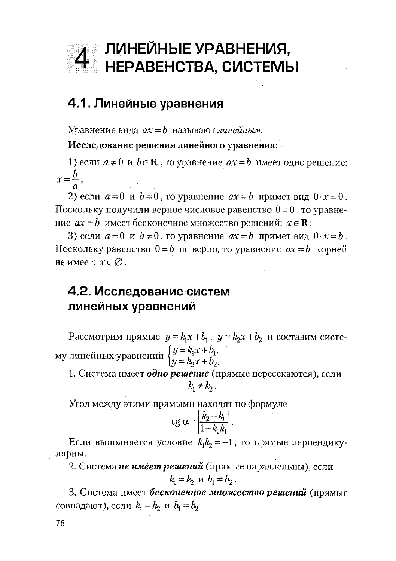

## 4.1. Линейные уравнения

Уравнение вида  $ax = b$  называют линейным.

Исследование решения линейного уравнения:

1) если  $a \ne 0$  и  $b \in \mathbb{R}$ , то уравнение  $ax = b$  имеет одно решение:  $x=\frac{b}{x}$ ;

2) если  $a=0$  и  $b=0$ , то уравнение  $ax=b$  примет вид  $0 \cdot x=0$ . Поскольку получили верное числовое равенство  $0 = 0$ , то уравнение  $ax = b$  имеет бесконечное множество решений:  $x \in \mathbf{R}$ ;

3) если  $a=0$  и  $b\neq 0$ , то уравнение  $ax=b$  примет вид  $0 \cdot x = b$ . Поскольку равенство  $0=b$  не верно, то уравнение  $ax = b$  корней не имеет:  $x \in \emptyset$ .

## 4.2. Исследование систем линейных уравнений

Рассмотрим прямые  $y = k_1x + b_1$ ,  $y = k_2x + b_2$  и составим систему линейных уравнений  $\begin{cases} y = k_1 x + b_1, \\ y = k_2 x + b_2. \end{cases}$ 

1. Система имеет одно решение (прямые пересекаются), если  $k \neq k$ .

Угол между этими прямыми находят по формуле

$$
sg \alpha = \left| \frac{k_2 - k_1}{1 + k_2 k_1} \right|.
$$

Если выполняется условие  $k_1k_2 = -1$ , то прямые перпендикулярны.

2. Система не имеет решений (прямые параллельны), если  $k_1 = k_2$  u  $b_1 \neq b_2$ .

3. Система имеет бесконечное множество решений (прямые совпадают), если  $k_1 = k_2$  и  $b_1 = b_2$ .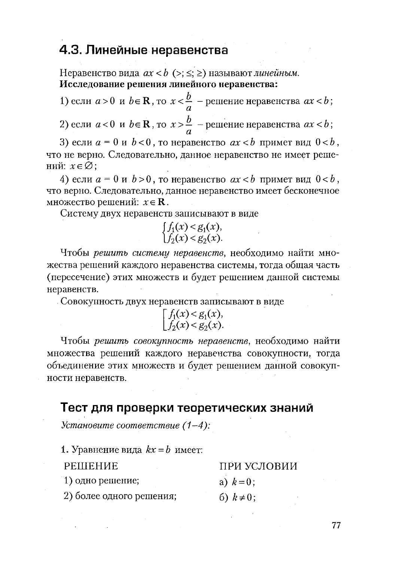## 4.3. Линейные неравенства

Неравенство вида  $ax < b$  (>; ≤; ≥) называют линейным. Исследование решения линейного неравенства:

1) если  $a > 0$  и  $b \in \mathbb{R}$ , то  $x < \frac{b}{a}$  – решение неравенства  $ax < b$ ;

2) если  $a < 0$  и  $b \in \mathbb{R}$ , то  $x > \frac{b}{a}$  – решение неравенства  $ax < b$ ;

3) если  $a = 0$  и  $b < 0$ , то неравенство  $ax < b$  примет вид  $0 < b$ , что не верно. Следовательно, данное неравенство не имеет решений:  $x \in \emptyset$ ;

4) если  $a = 0$  и  $b > 0$ , то неравенство  $ax < b$  примет вид  $0 < b$ , что верно. Следовательно, данное неравенство имеет бесконечное множество решений:  $x \in \mathbf{R}$ .

Систему двух неравенств записывают в виде

$$
\begin{cases} f_1(x) < g_1(x), \\ f_2(x) < g_2(x). \end{cases}
$$

Чтобы решить систему неравенств, необходимо найти множества решений каждого неравенства системы, тогда общая часть (пересечение) этих множеств и будет решением данной системы неравенств.

Совокупность двух неравенств записывают в виде

$$
\begin{bmatrix} f_1(x) < g_1(x), \\ f_2(x) < g_2(x). \end{bmatrix}
$$

Чтобы решить совокупность неравенств, необходимо найти множества решений каждого неравенства совокупности, тогда объединение этих множеств и будет решением данной совокупности неравенств.

#### Тест для проверки теоретических знаний

Установите соответствие  $(1-4)$ :

1. Уравнение вида  $kx = b$  имеет:

| <b>PEIIIEHUE</b>         | ПРИ УСЛОВИИ     |  |  |  |
|--------------------------|-----------------|--|--|--|
| 1) одно решение;         | a) $k=0$ ;      |  |  |  |
| 2) более одного решения; | 6) $k \neq 0$ ; |  |  |  |

2) более одного решения;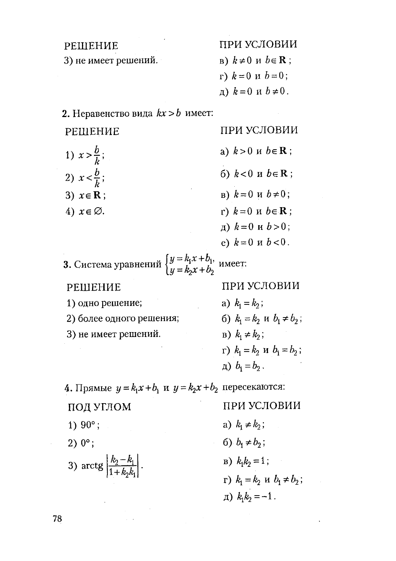| РЕШЕНИЕ                                                                                             | ПРИ УСЛОВИИ                                  |
|-----------------------------------------------------------------------------------------------------|----------------------------------------------|
| 3) не имеет решений.                                                                                | B) $k \neq 0$ $\mu$ $b \in \mathbf{R}$ ;     |
|                                                                                                     | г) $k=0$ и $b=0$ ;                           |
|                                                                                                     | д) $k=0$ и $b\neq0$ .                        |
| 2. Неравенство вида $kx > b$ имеет:                                                                 |                                              |
| РЕШЕНИЕ                                                                                             | ПРИ УСЛОВИИ                                  |
| 1) $x > \frac{b}{b}$ ;                                                                              | a) $k>0$ $\mu$ $b \in \mathbf{R}$ ;          |
| 2) $x < \frac{b}{b}$ ;                                                                              | 6) $k < 0$ и $b \in \mathbb{R}$ ;            |
| 3) $x \in \mathbf{R}$ ;                                                                             | B) $k=0$ u $b\neq0$ ;                        |
| 4) $x \in \varnothing$ .                                                                            | г) $k=0$ и $b \in \mathbf{R}$ ;              |
|                                                                                                     | д) $k=0$ и $b>0$ ;                           |
|                                                                                                     | e) $k=0$ и $b<0$ .                           |
| <b>3.</b> Система уравнений $\begin{cases} y = k_1 x + b_1, \\ y = k_2 x + b_2. \end{cases}$ имеет: |                                              |
| РЕШЕНИЕ                                                                                             | ПРИ УСЛОВИИ                                  |
| 1) одно решение;                                                                                    | a) $k_1 = k_2$ ;                             |
| 2) более одного решения;                                                                            | 6) $k_1 = k_2$ u $b_1 \neq b_2$ ;            |
| 3) не имеет решений.                                                                                | $B)$ $k_1 \neq k_2$ ;                        |
|                                                                                                     | r) $k_1 = k_2$ u $b_1 = b_2$ ;               |
|                                                                                                     | $a) b_1 = b_2$ .                             |
| 4. Прямые $y = k_1 x + b_1$ и $y = k_2 x + b_2$ пересекаются:                                       |                                              |
| ПОД УГЛОМ                                                                                           | ПРИ УСЛОВИИ                                  |
| 1) $90^{\circ}$ ;                                                                                   | a) $k_1 \neq k_2$ ;                          |
| $2) 0^{\circ}$ ;                                                                                    | 6) $b_1 \neq b_2$ ;                          |
| 3) $\arctg \left  \frac{k_2 - k_1}{1 + k_2 k_1} \right $ .                                          | $B)$ $k_1k_2=1$ ;                            |
|                                                                                                     | $r)$ $k_1 = k_2$ $\text{H}$ $b_1 \neq b_2$ ; |
|                                                                                                     | $\mu$ ) $k_1k_2 = -1$ .                      |

 $\mathcal{L}^{\text{max}}_{\text{max}}$  ,  $\mathcal{L}^{\text{max}}_{\text{max}}$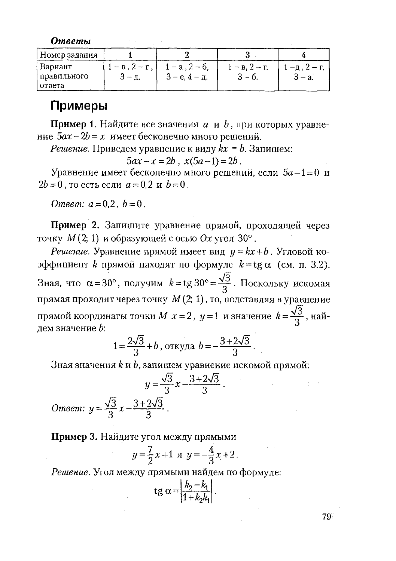**Ответы** 

| Номер задания                        |                             |                                              |                        |        |  |
|--------------------------------------|-----------------------------|----------------------------------------------|------------------------|--------|--|
| Вариант<br>  правильного<br>  ответа | 1 — в.2 — г.<br>$3 - \pi$ . | $1 - a$ , $2 - 6$ .<br>$3 - e$ , $4 - \pi$ . | 1 – в. 2 – г.<br>3 – 6 | $-$ a. |  |

#### Примеры

**Пример 1.** Найдите все значения  $a$  и  $b$ , при которых уравнение  $5ax - 2b = x$  имеет бесконечно много решений.

*Решение*. Приведем уравнение к виду  $kx = b$ . Запишем:

 $5ax - x = 2b$ ,  $x(5a-1) = 2b$ .

Уравнение имеет бесконечно много решений, если  $5a-1=0$  и  $2b = 0$ , то есть если  $a = 0.2$  и  $b = 0$ .

*Omeem:*  $a = 0.2$ ,  $b = 0$ .

Пример 2. Запишите уравнение прямой, проходящей через точку  $M(2, 1)$  и образующей с осью Ох угол  $30^{\circ}$ .

*Решение*. Уравнение прямой имеет вид  $y = kx + b$ . Угловой коэффициент  $k$  прямой находят по формуле  $k = \text{tg } \alpha$  (см. п. 3.2). Зная, что α=30°, получим  $k = \text{tg } 30^\circ = \frac{\sqrt{3}}{3}$ . Поскольку искомая прямая проходит через точку  $M(2; 1)$ , то, подставляя в уравнение прямой координаты точки  $M$   $x = 2$ ,  $y = 1$  и значение  $k = \frac{\sqrt{3}}{2}$ , найдем значение  $b$ :

$$
1 = \frac{2\sqrt{3}}{3} + b
$$
, откуда  $b = -\frac{3 + 2\sqrt{3}}{3}$ .

Зная значения  $k$  и  $b$ , запишем уравнение искомой прямой:

$$
y = \frac{\sqrt{3}}{3}x - \frac{3+2\sqrt{3}}{3}.
$$
  
Omega:  $y = \frac{\sqrt{3}}{3}x - \frac{3+2\sqrt{3}}{3}.$ 

Пример 3. Найдите угол между прямыми

$$
y = \frac{7}{2}x + 1 \, \text{m} \, y = -\frac{4}{3}x + 2 \, .
$$

Решение. Угол между прямыми найдем по формуле:

$$
\operatorname{tg}\alpha = \left|\frac{k_2 - k_1}{1 + k_2 k_1}\right|.
$$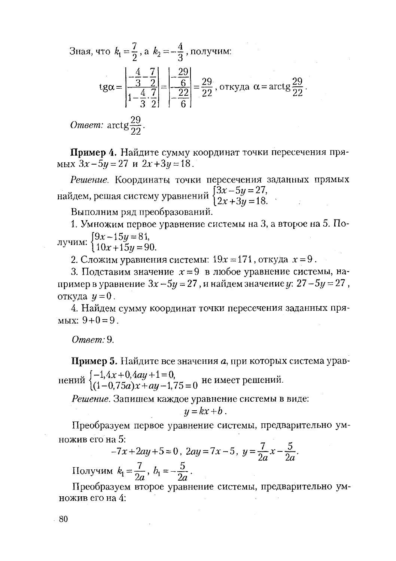Зная, что  $k_1 = \frac{7}{2}$ , а  $k_2 = -\frac{4}{3}$ , получим: tg $\alpha = \left| \frac{-\frac{4}{3} - \frac{7}{2}}{1 - \frac{4}{3} \cdot \frac{7}{2}} \right| = \left| \frac{-\frac{29}{6}}{-\frac{22}{3}} \right| = \frac{29}{22}$ , откуда  $\alpha = \arctg \frac{29}{22}$ . *Omeem:*  $\arctg \frac{29}{22}$ .

Пример 4. Найдите сумму координат точки пересечения пря-Mbix  $3x-5y=27$   $\mu$   $2x+3y=18$ .

Решение. Координаты точки пересечения заданных прямых найдем, решая систему уравнений  $\begin{cases} 3x - 5y = 27, \\ 2x + 3y = 18. \end{cases}$ 

Выполним ряд преобразований.

1. Умножим первое уравнение системы на 3, а второе на 5. По- $\frac{1}{2}$  [9x -15y = 81,

$$
y^{\text{num}} \cdot (10x + 15y = 90)
$$

2. Сложим уравнения системы:  $19x = 171$ , откуда  $x = 9$ .

3. Подставим значение  $x=9$  в любое уравнение системы, например в уравнение  $3x - 5y = 27$ , и найдем значение у:  $27 - 5y = 27$ , откуда  $y=0$ .

4. Найдем сумму координат точки пересечения заданных пря-MbIX:  $9+0=9$ .

Ответ: 9.

Пример 5. Найдите все значения а, при которых система уравнений  $\begin{cases} -1.4x+0.4ay+1=0, \\ (1-0.75a)x+ay-1.75=0 \end{cases}$  не имеет решений.

Решение. Запишем каждое уравнение системы в виде:

$$
y = kx + b.
$$

Преобразуем первое уравнение системы, предварительно умножив его на 5:

$$
-7x + 2ay + 5 = 0, \ 2ay = 7x - 5, \ y = \frac{7}{2a}x - \frac{5}{2a}.
$$
  
Получим  $k_1 = \frac{7}{2a}$ ,  $b_1 = -\frac{5}{2a}$ .

Преобразуем второе уравнение системы, предварительно умножив его на 4: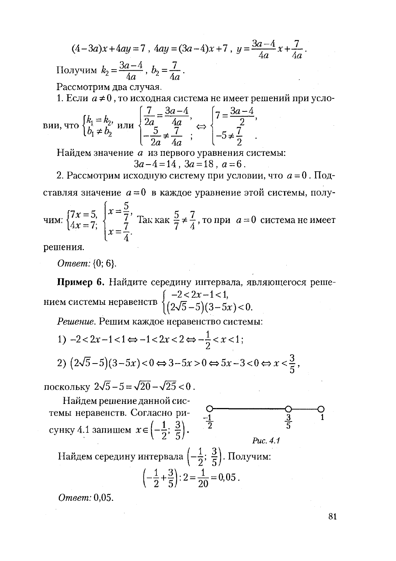$$
(4-3a)x + 4ay = 7, \ 4ay = (3a-4)x + 7, \ y = \frac{3a-4}{4a}x + \frac{7}{4a}.
$$
  
Получим  $k_2 = \frac{3a-4}{4a}, \ b_2 = \frac{7}{4a}.$ 

Рассмотрим два случая.

1. Если  $a \ne 0$ , то исходная система не имеет решений при усло-

$$
\text{BHH, TTO } \begin{cases} k_1 = k_2, \\ b_1 \neq b_2 \end{cases} \text{ HTH } \begin{cases} \frac{7}{2a} = \frac{3a-4}{4a}, \\ -\frac{5}{2a} \neq \frac{7}{4a} \end{cases}; \Leftrightarrow \begin{cases} 7 = \frac{3a-4}{2}, \\ -5 \neq \frac{7}{2}. \end{cases}
$$

Найдем значение а из первого уравнения системы:

$$
3a-4=14
$$
,  $3a=18$ ,  $a=6$ .

2. Рассмотрим исходную систему при условии, что  $a = 0$ . Подставляя значение  $a=0$  в каждое уравнение этой системы, полу-

чим:  $\begin{cases} 7x = 5, \\ 4x = 7; \end{cases}$  $\begin{cases} x = \frac{5}{7}, \\ x = \frac{7}{4}. \end{cases}$  Так как  $\frac{5}{7} \neq \frac{7}{4}$ , то при  $a = 0$  система не имеет

решения.

Ответ: {0; 6}.

Пример 6. Найдите середину интервала, являющегося реше-

Решение. Решим каждое неравенство системы:

1)  $-2 < 2x - 1 < 1 \Leftrightarrow -1 < 2x < 2 \Leftrightarrow -\frac{1}{2} < x < 1$ ;

$$
2)\left(2\sqrt{5}-5\right)(3-5x) < 0 \Leftrightarrow 3-5x > 0 \Leftrightarrow 5x-3 < 0 \Leftrightarrow x < \frac{3}{5},
$$

поскольку  $2\sqrt{5}-5=\sqrt{20}-\sqrt{25}<0$ .

Найдем решение данной системы неравенств. Согласно рисунку 4.1 запишем  $x \in \left(-\frac{1}{2}; \frac{3}{5}\right)$ . Puc. 4.1 Найдем середину интервала  $\left(-\frac{1}{2}, \frac{3}{5}\right)$ . Получим:

$$
\left(-\frac{1}{2} + \frac{3}{5}\right) : 2 = \frac{1}{20} = 0.05.
$$

Ответ: 0.05.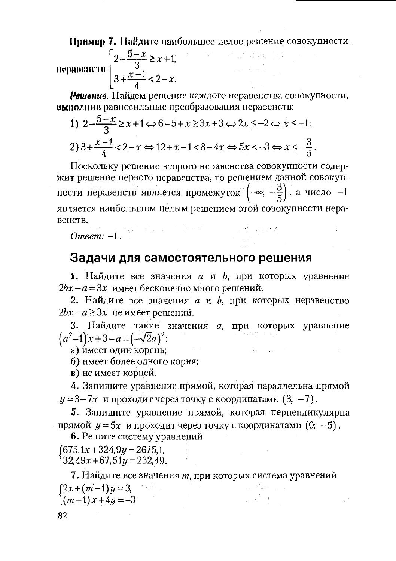Пример 7. Найдите наибольшее целое решение совокупности

 $\mathcal{L} = \{ \mathbf{v}_i, \mathbf{v}_i, \mathbf{v}_i \}$ 

$$
100\text{hfootedence} = \begin{cases} 2 - \frac{5 - x}{3} \ge x + 1, \\ 3 + \frac{x - 1}{4} < 2 - x. \end{cases}
$$

Решение. Найдем решение каждого неравенства совокупности, выполнив равносильные преобразования неравенств:

1) 
$$
2 - \frac{5 - x}{3} \ge x + 1 \Leftrightarrow 6 - 5 + x \ge 3x + 3 \Leftrightarrow 2x \le -2 \Leftrightarrow x \le -1;
$$
  
2) 
$$
3 + \frac{x - 1}{4} < 2 - x \Leftrightarrow 12 + x - 1 < 8 - 4x \Leftrightarrow 5x < -3 \Leftrightarrow x < -\frac{3}{5}.
$$

Поскольку решение второго неравенства совокупности содержит решение первого неравенства, то решением данной совокупности неравенств является промежуток  $\left(-\infty; -\frac{3}{5}\right)$ , а число -1 является наибольшим целым решением этой совокупности неравенств. Omeen:  $-1$ , the state of the second second state problem

#### Задачи для самостоятельного решения

**1.** Найдите все значения *а* и *b*, при которых уравнение  $2bx - a = 3x$  имеет бесконечно много решений.

2. Найдите все значения  $a$  и  $b$ , при которых неравенство  $2bx - a \ge 3x$  не имеет решений.

3. Найдите такие значения а, при которых уравнение  $(a^2-1)x+3-a=(-\sqrt{2}a)^2$ :

а) имеет один корень;

б) имеет более одного корня;

в) не имеет корней.

4. Запишите уравнение прямой, которая параллельна прямой  $y = 3-7x$  и проходит через точку с координатами  $(3, -7)$ .

5. Запишите уравнение прямой, которая перпендикулярна прямой  $y = 5x$  и проходит через точку с координатами  $(0, -5)$ .

6. Решите систему уравнений

 $[675, 1x + 324, 9y = 2675, 1,$  $32.49x + 67.51y = 232.49$ .

7. Найдите все значения т, при которых система уравнений  $[2x+(m-1)y=3,$  $\left(\frac{m+1}{x+4y}=-3\right)$ 医动脉 建立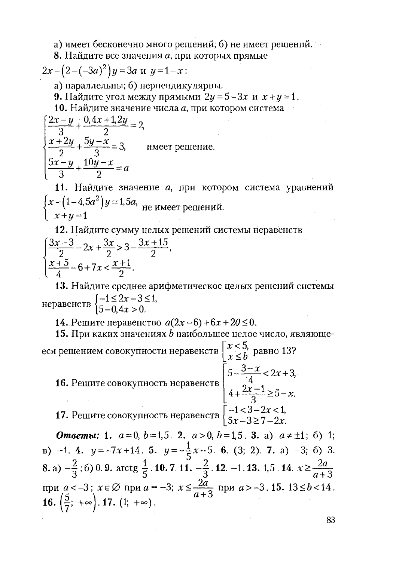а) имеет бесконечно много решений; б) не имеет решений.

8. Найдите все значения а, при которых прямые

 $2x - (2 - (-3a)^2)y = 3a$   $\mu$   $y = 1 - x$ :

а) параллельны; б) нерпендикулярны.

9. Найдите угол между прямыми  $2y = 5-3x$  и  $x + y = 1$ .

10. Найдите значение числа а, при котором система

 $\frac{2x-y}{3} + \frac{0,4x+1,2y}{2} = 2,$  $\frac{x+2y}{2} + \frac{5y-x}{3} = 3$ , имеет решение.  $\frac{5x-y}{3} + \frac{10y-x}{2} = a$ 

11. Найдите значение а, при котором система уравнений  $\begin{cases} x - (1 - 4.5a^2)y = 1.5a, \\ x + y = 1 \end{cases}$  не имеет решений.

12. Найдите сумму целых решений системы неравенств  $\left[\frac{3x-3}{2}-2x+\frac{3x}{2}\right] > 3-\frac{3x+15}{2},$ 

 $\frac{x+5}{4}$  - 6+7x <  $\frac{x+1}{2}$ . 13. Найдите среднее арифметическое целых решений системы неравенств  $\begin{cases} -1 \leq 2x-3 \leq 1, \\ 5-0.4x > 0. \end{cases}$ 

**14.** Решите неравенство  $a(2x-6) + 6x + 20 ≤ 0$ .

15. При каких значениях *b* наибольшее целое число, являющееся решением совокупности неравенств  $\begin{cases} x < 5 \\ x \le b \end{cases}$  равно 13? **16.** Решите совокупность неравенств  $\begin{bmatrix} 5 - \frac{3 - x}{4} < 2x + 3, \\ 4 + \frac{2x - 1}{3} \ge 5 - x. \end{bmatrix}$ <br>**17.** Решите совокупность неравенств  $\begin{bmatrix} -1 < 3 - 2x < 1, \\ 5x - 3 \ge 7 - 2x. \end{bmatrix}$ 

**Omsember 1.**  $a=0, b=1,5$ . 2.  $a>0, b=1,5$ . 3. a)  $a \neq \pm 1$ ; 6) 1; B) -1. 4.  $y = -7x + 14$ . 5.  $y = -\frac{1}{5}x - 5$ . 6. (3; 2). 7. a) -3; 6) 3. 8. a)  $-\frac{2}{3}$ ; 6) 0. 9. arctg  $\frac{1}{5}$ . 10. 7. 11.  $-\frac{2}{3}$ . 12. -1. 13. 1,5. 14.  $x \ge \frac{2a}{a+3}$ при  $a < -3$ ;  $x \in \emptyset$  при  $a = -3$ ;  $x \le \frac{2a}{a+3}$  при  $a > -3$ . 15. 13  $\le b < 14$ . 16.  $\left(\frac{5}{7}; +\infty\right)$ . 17.  $(1; +\infty)$ .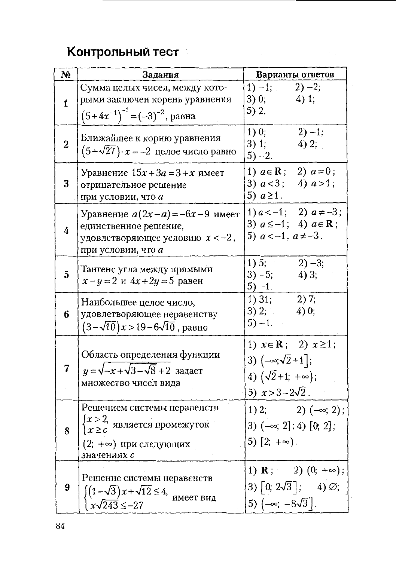# Контрольный тест

| N <sub>2</sub> | Задания                                                                                                                                 | Варианты ответов                                                                                                                  |  |  |
|----------------|-----------------------------------------------------------------------------------------------------------------------------------------|-----------------------------------------------------------------------------------------------------------------------------------|--|--|
| $\mathbf{1}$   | Сумма целых чисел, между кото-<br>рыми заключен корень уравнения<br>$(5+4x^{-1})^{-1} = (-3)^{-2}$ , равна                              | $1) - 1;$<br>$2) - 2;$<br>3)0;<br>$4)$ 1;<br>5) $2.$                                                                              |  |  |
| $\bf{2}$       | Ближайшее к корню уравнения<br>$(5+\sqrt{27}) \cdot x = -2$ целое число равно                                                           | 1)0<br>$2) - 1;$<br>3) 1;<br>$4)$ 2;<br>$5) -2.$                                                                                  |  |  |
| 3              | Уравнение $15x+3a=3+x$ имеет<br>отрицательное решение<br>при условии, что а                                                             | 1) $a \in \mathbf{R}$ ; 2) $a = 0$ ;<br>3) $a < 3$ ; 4) $a > 1$ ;<br>5) $a \geq 1$ .                                              |  |  |
| $\overline{4}$ | Уравнение $a(2x-a) = -6x-9$ имеет<br>единственное решение,<br>удовлетворяющее условию $x < -2$ ,<br>при условии, что а                  | 1) $a < -1$ ; 2) $a \neq -3$ ;<br>3) $a \le -1$ ; 4) $a \in \mathbf{R}$ ;<br>5) $a < -1$ , $a \neq -3$ .                          |  |  |
| $\mathbf{5}$   | Тангенс угла между прямыми<br>$x - y = 2$ $x \ 4x + 2y = 5$ равен                                                                       | 1) 5; $\overline{ }$<br>$2) -3;$<br>$3) - 5;$<br>4)3;<br>$5) - 1.$                                                                |  |  |
| 6              | Наибольшее целое число,<br>удовлетворяющее неравенству<br>$(3-\sqrt{10})x > 19-6\sqrt{10}$ , равно                                      | 2)7;<br>$1)$ 31;<br>3) 2;<br>4)0;<br>$5) - 1.$                                                                                    |  |  |
| 7              | Область определения функции<br>$y = \sqrt{-x} + \sqrt{3} - \sqrt{8} + 2$ задает<br>множество чисел вида                                 | 1) $x \in \mathbf{R}$ ; 2) $x \ge 1$ ;<br>3) $(-\infty; \sqrt{2}+1]$ ;<br>4) $(\sqrt{2}+1; +\infty);$<br>5) $x > 3 - 2\sqrt{2}$ . |  |  |
| 8              | Решением системы неравенств<br>$\left\{x > 2, \right.$ является промежуток<br>$x \geq c$<br>$(2; +\infty)$ при следующих<br>значениях с | 1) 2; 2) $(-\infty; 2)$ ;<br>3) $(-\infty; 2]$ ; 4) $[0; 2]$ ;<br>5) $[2; +\infty)$ .                                             |  |  |
| 9              | Решение системы неравенств<br>$\int (1-\sqrt{3})x + \sqrt{12} \leq 4$ , имеет вид<br>$\frac{x\sqrt{243}}{5} \le -27$                    | 1) <b>R</b> ; 2) $(0; +\infty)$ ;<br>3) $\lceil 0; 2\sqrt{3} \rceil$ ; 4) $\varnothing$ ;<br>5) $(-\infty, -8\sqrt{3})$ .         |  |  |